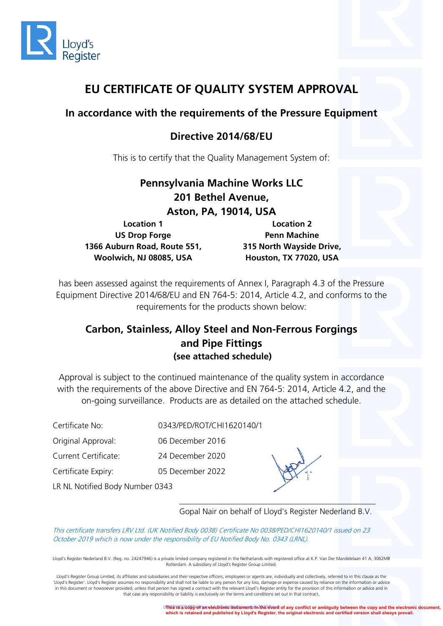

# **EU CERTIFICATE OF QUALITY SYSTEM APPROVAL**

## **In accordance with the requirements of the Pressure Equipment**

# **Directive 2014/68/EU**

This is to certify that the Quality Management System of:

| Pennsylvania Machine Works LLC |                          |  |
|--------------------------------|--------------------------|--|
| 201 Bethel Avenue,             |                          |  |
| <b>Aston, PA, 19014, USA</b>   |                          |  |
| <b>Location 1</b>              | <b>Location 2</b>        |  |
| <b>US Drop Forge</b>           | <b>Penn Machine</b>      |  |
| 1366 Auburn Road, Route 551,   | 315 North Wayside Drive, |  |
| Woolwich, NJ 08085, USA        | Houston, TX 77020, USA   |  |

has been assessed against the requirements of Annex I, Paragraph 4.3 of the Pressure Equipment Directive 2014/68/EU and EN 764-5: 2014, Article 4.2, and conforms to the requirements for the products shown below:

## **Carbon, Stainless, Alloy Steel and Non-Ferrous Forgings and Pipe Fittings (see attached schedule)**

Approval is subject to the continued maintenance of the quality system in accordance with the requirements of the above Directive and EN 764-5: 2014, Article 4.2, and the on-going surveillance. Products are as detailed on the attached schedule.

Certificate No: 0343/PED/ROT/CHI1620140/1

Original Approval: 06 December 2016

Current Certificate: 24 December 2020

Certificate Expiry: 05 December 2022



LR NL Notified Body Number 0343

*\_\_\_\_\_\_\_\_\_\_\_\_\_\_\_\_\_\_\_\_\_\_\_\_\_\_\_\_\_\_\_\_\_\_\_\_\_\_\_\_\_\_\_\_\_\_\_\_* Gopal Nair on behalf of Lloyd's Register Nederland B.V.

This certificate transfers LRV Ltd. (UK Notified Body 0038) Certificate No 0038/PED/CHI1620140/1 issued on 23 October 2019 which is now under the responsibility of EU Notified Body No. 0343 (LRNL).

Lloyd's Register Nederland B.V. (Reg. no. 24247946) is a private limited company registered in the Netherlands with registered office at K.P. Van Der Mandelelaan 41 A, 3062MB Rotterdam. A subsidiary of Lloyd's Register Group Limited.

Lloyd's Register Group Limited, its affiliates and subsidiaries and their respective officers, employees or agents are, individually and collectively, referred to in this clause as the 'Lloyd's Register'. Lloyd's Register assumes no responsibility and shall not be liable to any person for any loss, damage or expense caused by reliance on the information or advice in this document or howsoever provided, unless that person has signed a contract with the relevant Lloyd's Register entity for the provision of this information or advice and in that case any responsibility or liability is exclusively on the terms and conditions set out in that contract.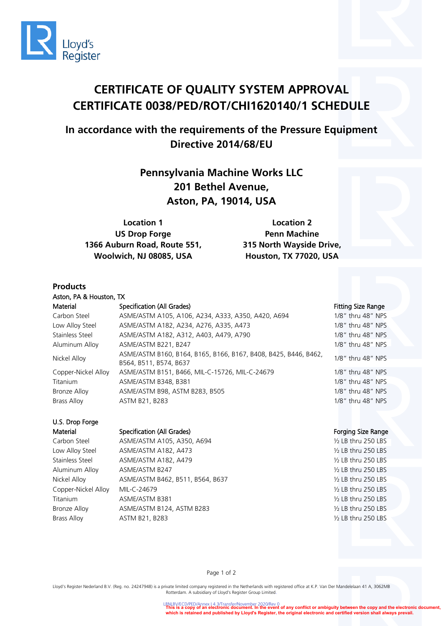

# **CERTIFICATE OF QUALITY SYSTEM APPROVAL CERTIFICATE 0038/PED/ROT/CHI1620140/1 SCHEDULE**

# **In accordance with the requirements of the Pressure Equipment Directive 2014/68/EU**

**Pennsylvania Machine Works LLC 201 Bethel Avenue, Aston, PA, 19014, USA**

**Location 1 US Drop Forge 1366 Auburn Road, Route 551, Woolwich, NJ 08085, USA**

**Location 2 Penn Machine 315 North Wayside Drive, Houston, TX 77020, USA**

### **Products**

Aston, PA & Houston, TX Material Specification (All Grades) Specification (All Grades) Specification (All Grades) Specification (All Grades) Carbon Steel ASME/ASTM A105, A106, A234, A333, A350, A420, A694 1/8" thru 48" NPS Low Alloy Steel ASME/ASTM A182, A234, A276, A335, A473 1/8" thru 48" NPS Stainless Steel ASME/ASTM A182, A312, A403, A479, A790 1/8" thru 48" NPS Aluminum Alloy ASME/ASTM B221, B247 1/8" thru 48" NPS Nickel Alloy ASME/ASTM B160, B164, B165, B166, B167, B408, B425, B446, B462, ASIVIE/ASTIVI BTOU, BTO4, BTO5, BTO0, BTO7, B400, B425, B440, B402, 1/8" thru 48" NPS<br>B564, B511, B574, B637 Copper-Nickel Alloy ASME/ASTM B151, B466, MIL-C-15726, MIL-C-24679 1/8" thru 48" NPS Titanium ASME/ASTM B348, B381 1/8" thru 48" NPS Bronze Alloy ASME/ASTM B98, ASTM B283, B505 1/8" thru 48" NPS

# U.S. Drop Forge

### Material Specification (All Grades) Specification (All Grades) Forging Size Range

Carbon Steel ASME/ASTM A105, A350, A694 ½ LB thru 250 LBS Low Alloy Steel ASME/ASTM A182, A473 ½ LB thru 250 LBS Stainless Steel ASME/ASTM A182, A479 
ASME 1997 Aluminum Alloy ASME/ASTM B247 ½ LB thru 250 LBS Nickel Alloy ASME/ASTM B462, B511, B564, B637 ½ LB thru 250 LBS Copper-Nickel Alloy MIL-C-24679 ½ LB thru 250 LBS Titanium ASME/ASTM B381 ½ LB thru 250 LBS Bronze Alloy ASME/ASTM B124, ASTM B283 1997 12:00 ASME/ASTM B124, ASTM B283 Brass Alloy ASTM B21, B283 ½ LB thru 250 LBS

Brass Alloy **ASTM B21, B283** 1/8" thru 48" NPS

Page 1 of 2

Lloyd's Register Nederland B.V. (Reg. no. 24247948) is a private limited company registered in the Netherlands with registered office at K.P. Van Der Mandelelaan 41 A, 3062MB Rotterdam. A subsidiary of Lloyd's Register Group Limited.